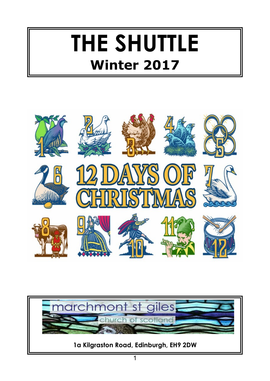# **THE SHUTTLE Winter 2017**



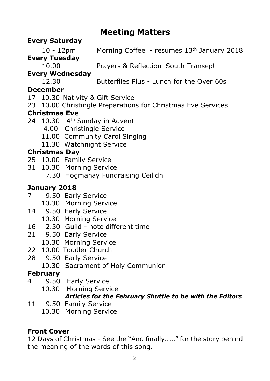### **Meeting Matters**

#### **Every Saturday**

10 - 12pm Morning Coffee - resumes 13th January 2018

**Every Tuesday**

10.00 Prayers & Reflection South Transept

#### **Every Wednesday**

12.30 Butterflies Plus - Lunch for the Over 60s

#### **December**

- 17 10.30 Nativity & Gift Service
- 23 10.00 Christingle Preparations for Christmas Eve Services

#### **Christmas Eve**

- 24 10.30 4<sup>th</sup> Sunday in Advent
	- 4.00 Christingle Service
	- 11.00 Community Carol Singing
	- 11.30 Watchnight Service

#### **Christmas Day**

- 25 10.00 Family Service
- 31 10.30 Morning Service
	- 7.30 Hogmanay Fundraising Ceilidh

### **January 2018**

- 7 9.50 Early Service
	- 10.30 Morning Service
- 14 9.50 Early Service
	- 10.30 Morning Service
- 16 2.30 Guild note different time
- 21 9.50 Early Service
	- 10.30 Morning Service
- 22 10.00 Toddler Church
- 28 9.50 Early Service
	- 10.30 Sacrament of Holy Communion

#### **February**

- 4 9.50 Early Service
	- 10.30 Morning Service *Articles for the February Shuttle to be with the Editors*
- 11 9.50 Family Service
	- 10.30 Morning Service

### **Front Cover**

12 Days of Christmas - See the "And finally……" for the story behind the meaning of the words of this song.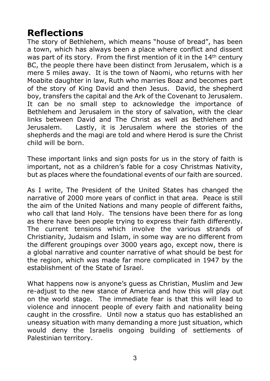### **Reflections**

The story of Bethlehem, which means "house of bread", has been a town, which has always been a place where conflict and dissent was part of its story. From the first mention of it in the 14<sup>th</sup> century BC, the people there have been distinct from Jerusalem, which is a mere 5 miles away. It is the town of Naomi, who returns with her Moabite daughter in law, Ruth who marries Boaz and becomes part of the story of King David and then Jesus. David, the shepherd boy, transfers the capital and the Ark of the Covenant to Jerusalem. It can be no small step to acknowledge the importance of Bethlehem and Jerusalem in the story of salvation, with the clear links between David and The Christ as well as Bethlehem and Jerusalem. Lastly, it is Jerusalem where the stories of the shepherds and the magi are told and where Herod is sure the Christ child will be born.

These important links and sign posts for us in the story of faith is important, not as a children's fable for a cosy Christmas Nativity, but as places where the foundational events of our faith are sourced.

As I write, The President of the United States has changed the narrative of 2000 more years of conflict in that area. Peace is still the aim of the United Nations and many people of different faiths, who call that land Holy. The tensions have been there for as long as there have been people trying to express their faith differently. The current tensions which involve the various strands of Christianity, Judaism and Islam, in some way are no different from the different groupings over 3000 years ago, except now, there is a global narrative and counter narrative of what should be best for the region, which was made far more complicated in 1947 by the establishment of the State of Israel.

What happens now is anyone's guess as Christian, Muslim and Jew re-adjust to the new stance of America and how this will play out on the world stage. The immediate fear is that this will lead to violence and innocent people of every faith and nationality being caught in the crossfire. Until now a status quo has established an uneasy situation with many demanding a more just situation, which would deny the Israelis ongoing building of settlements of Palestinian territory.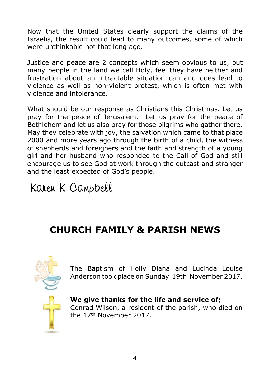Now that the United States clearly support the claims of the Israelis, the result could lead to many outcomes, some of which were unthinkable not that long ago.

Justice and peace are 2 concepts which seem obvious to us, but many people in the land we call Holy, feel they have neither and frustration about an intractable situation can and does lead to violence as well as non-violent protest, which is often met with violence and intolerance.

What should be our response as Christians this Christmas. Let us pray for the peace of Jerusalem. Let us pray for the peace of Bethlehem and let us also pray for those pilgrims who gather there. May they celebrate with joy, the salvation which came to that place 2000 and more years ago through the birth of a child, the witness of shepherds and foreigners and the faith and strength of a young girl and her husband who responded to the Call of God and still encourage us to see God at work through the outcast and stranger and the least expected of God's people.

Karen K Campbell

### **CHURCH FAMILY & PARISH NEWS**



The Baptism of Holly Diana and Lucinda Louise Anderson took place on Sunday 19th November 2017.

**We give thanks for the life and service of;** Conrad Wilson, a resident of the parish, who died on the 17th November 2017.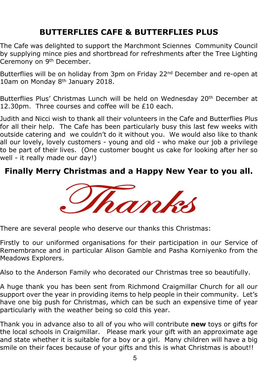### **BUTTERFLIES CAFE & BUTTERFLIES PLUS**

The Cafe was delighted to support the Marchmont Sciennes Community Council by supplying mince pies and shortbread for refreshments after the Tree Lighting Ceremony on 9<sup>th</sup> December.

Butterflies will be on holiday from 3pm on Friday 22<sup>nd</sup> December and re-open at 10am on Monday 8th January 2018.

Butterflies Plus' Christmas Lunch will be held on Wednesday 20<sup>th</sup> December at 12.30pm. Three courses and coffee will be £10 each.

Judith and Nicci wish to thank all their volunteers in the Cafe and Butterflies Plus for all their help. The Cafe has been particularly busy this last few weeks with outside catering and we couldn't do it without you. We would also like to thank all our lovely, lovely customers - young and old - who make our job a privilege to be part of their lives. (One customer bought us cake for looking after her so well - it really made our day!)

### **Finally Merry Christmas and a Happy New Year to you all.**



There are several people who deserve our thanks this Christmas:

Firstly to our uniformed organisations for their participation in our Service of Remembrance and in particular Alison Gamble and Pasha Korniyenko from the Meadows Explorers.

Also to the Anderson Family who decorated our Christmas tree so beautifully.

A huge thank you has been sent from Richmond Craigmillar Church for all our support over the year in providing items to help people in their community. Let's have one big push for Christmas, which can be such an expensive time of year particularly with the weather being so cold this year.

Thank you in advance also to all of you who will contribute **new** toys or gifts for the local schools in Craigmillar. Please mark your gift with an approximate age and state whether it is suitable for a boy or a girl. Many children will have a big smile on their faces because of your gifts and this is what Christmas is about!!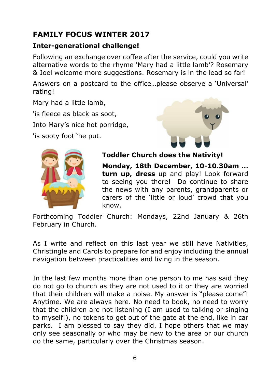### **FAMILY FOCUS WINTER 2017**

#### **Inter-generational challenge!**

Following an exchange over coffee after the service, could you write alternative words to the rhyme 'Mary had a little lamb'? Rosemary & Joel welcome more suggestions. Rosemary is in the lead so far!

Answers on a postcard to the office…please observe a 'Universal' rating!

Mary had a little lamb,

'is fleece as black as soot,

Into Mary's nice hot porridge,

'is sooty foot 'he put.





#### **Toddler Church does the Nativity!**

**Monday, 18th December, 10-10.30am … turn up, dress** up and play! Look forward to seeing you there! Do continue to share the news with any parents, grandparents or carers of the 'little or loud' crowd that you know.

Forthcoming Toddler Church: Mondays, 22nd January & 26th February in Church.

As I write and reflect on this last year we still have Nativities, Christingle and Carols to prepare for and enjoy including the annual navigation between practicalities and living in the season.

In the last few months more than one person to me has said they do not go to church as they are not used to it or they are worried that their children will make a noise. My answer is "please come"! Anytime. We are always here. No need to book, no need to worry that the children are not listening (I am used to talking or singing to myself!), no tokens to get out of the gate at the end, like in car parks. I am blessed to say they did. I hope others that we may only see seasonally or who may be new to the area or our church do the same, particularly over the Christmas season.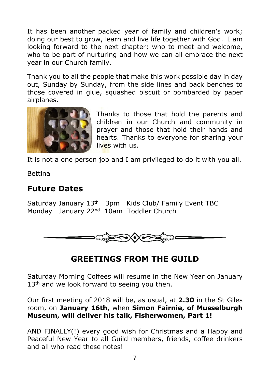It has been another packed year of family and children's work; doing our best to grow, learn and live life together with God. I am looking forward to the next chapter; who to meet and welcome, who to be part of nurturing and how we can all embrace the next year in our Church family.

Thank you to all the people that make this work possible day in day out, Sunday by Sunday, from the side lines and back benches to those covered in glue, squashed biscuit or bombarded by paper airplanes.



Thanks to those that hold the parents and children in our Church and community in prayer and those that hold their hands and hearts. Thanks to everyone for sharing your lives with us.

It is not a one person job and I am privileged to do it with you all.

Bettina

### **Future Dates**

Saturday January 13th 3pm Kids Club/ Family Event TBC Monday January 22<sup>nd</sup> 10am Toddler Church



### **GREETINGS FROM THE GUILD**

Saturday Morning Coffees will resume in the New Year on January 13<sup>th</sup> and we look forward to seeing you then.

Our first meeting of 2018 will be, as usual, at **2.30** in the St Giles room, on **January 16th,** when **Simon Fairnie, of Musselburgh Museum, will deliver his talk, Fisherwomen, Part 1!**

AND FINALLY(!) every good wish for Christmas and a Happy and Peaceful New Year to all Guild members, friends, coffee drinkers and all who read these notes!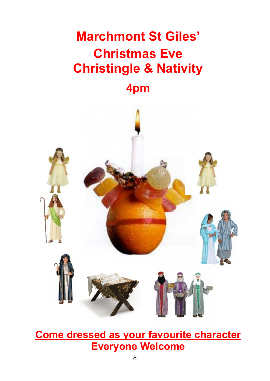## **Marchmont St Giles' Christmas Eve Christingle & Nativity**

### **4pm**



**Come dressed as your favourite character Everyone Welcome**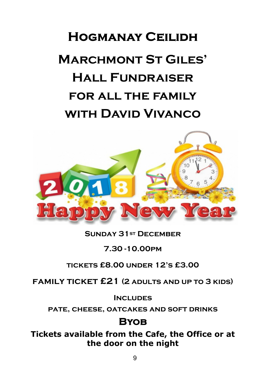## **HOGMANAY CEILIDH Marchmont St Giles' Hall Fundraiser for all the family with David Vivanco**



#### **Sunday 31st December**

#### **7.30 -10.00pm**

#### **tickets £8.00 under 12's £3.00**

**family ticket £21 (2 adults and up to 3 kids)**

**Includes**

**pate, cheese, oatcakes and soft drinks**

### **BYOB**

**Tickets available from the Cafe, the Office or at the door on the night**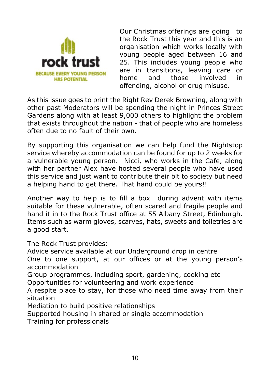

Our Christmas offerings are going to the Rock Trust this year and this is an organisation which works locally with young people aged between 16 and<br>**POCK TILIST** 25. This includes young people who 25. This includes young people who **BECAUSE EVERY YOUNG PERSON** are in transitions, leaving care or home and those involved in offending, alcohol or drug misuse.

As this issue goes to print the Right Rev Derek Browning, along with other past Moderators will be spending the night in Princes Street Gardens along with at least 9,000 others to highlight the problem that exists throughout the nation - that of people who are homeless often due to no fault of their own.

By supporting this organisation we can help fund the Nightstop service whereby accommodation can be found for up to 2 weeks for a vulnerable young person. Nicci, who works in the Cafe, along with her partner Alex have hosted several people who have used this service and just want to contribute their bit to society but need a helping hand to get there. That hand could be yours!!

Another way to help is to fill a box during advent with items suitable for these vulnerable, often scared and fragile people and hand it in to the Rock Trust office at 55 Albany Street, Edinburgh. Items such as warm gloves, scarves, hats, sweets and toiletries are a good start.

The Rock Trust provides:

Advice service available at our Underground drop in centre

One to one support, at our offices or at the young person's accommodation

Group programmes, including sport, gardening, cooking etc

Opportunities for volunteering and work experience

A respite place to stay, for those who need time away from their situation

Mediation to build positive relationships

Supported housing in shared or single accommodation

Training for professionals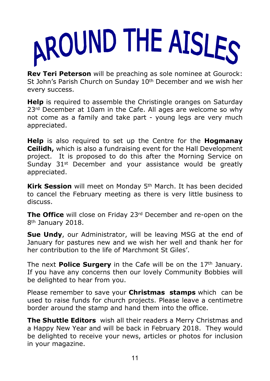

**Rev Teri Peterson** will be preaching as sole nominee at Gourock: St John's Parish Church on Sunday 10<sup>th</sup> December and we wish her every success.

**Help** is required to assemble the Christingle oranges on Saturday 23<sup>rd</sup> December at 10am in the Cafe. All ages are welcome so why not come as a family and take part - young legs are very much appreciated.

**Help** is also required to set up the Centre for the **Hogmanay Ceilidh,** which is also a fundraising event for the Hall Development project. It is proposed to do this after the Morning Service on Sunday 31<sup>st</sup> December and your assistance would be greatly appreciated.

**Kirk Session** will meet on Monday 5th March. It has been decided to cancel the February meeting as there is very little business to discuss.

**The Office** will close on Friday 23<sup>rd</sup> December and re-open on the 8th January 2018.

**Sue Undy**, our Administrator, will be leaving MSG at the end of January for pastures new and we wish her well and thank her for her contribution to the life of Marchmont St Giles'.

The next **Police Surgery** in the Cafe will be on the 17<sup>th</sup> January. If you have any concerns then our lovely Community Bobbies will be delighted to hear from you.

Please remember to save your **Christmas stamps** which can be used to raise funds for church projects. Please leave a centimetre border around the stamp and hand them into the office.

**The Shuttle Editors** wish all their readers a Merry Christmas and a Happy New Year and will be back in February 2018. They would be delighted to receive your news, articles or photos for inclusion in your magazine.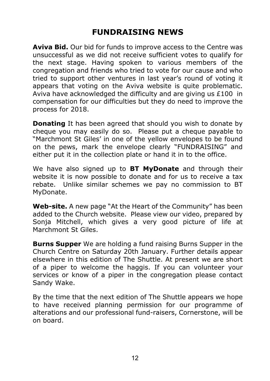### **FUNDRAISING NEWS**

**Aviva Bid.** Our bid for funds to improve access to the Centre was unsuccessful as we did not receive sufficient votes to qualify for the next stage. Having spoken to various members of the congregation and friends who tried to vote for our cause and who tried to support other ventures in last year's round of voting it appears that voting on the Aviva website is quite problematic. Aviva have acknowledged the difficulty and are giving us £100 in compensation for our difficulties but they do need to improve the process for 2018.

**Donating** It has been agreed that should you wish to donate by cheque you may easily do so. Please put a cheque payable to "Marchmont St Giles' in one of the yellow envelopes to be found on the pews, mark the envelope clearly "FUNDRAISING" and either put it in the collection plate or hand it in to the office.

We have also signed up to **BT MyDonate** and through their website it is now possible to donate and for us to receive a tax rebate. Unlike similar schemes we pay no commission to BT MyDonate.

**Web-site.** A new page "At the Heart of the Community" has been added to the Church website. Please view our video, prepared by Sonia Mitchell, which gives a very good picture of life at Marchmont St Giles.

**Burns Supper** We are holding a fund raising Burns Supper in the Church Centre on Saturday 20th January. Further details appear elsewhere in this edition of The Shuttle. At present we are short of a piper to welcome the haggis. If you can volunteer your services or know of a piper in the congregation please contact Sandy Wake.

By the time that the next edition of The Shuttle appears we hope to have received planning permission for our programme of alterations and our professional fund-raisers, Cornerstone, will be on board.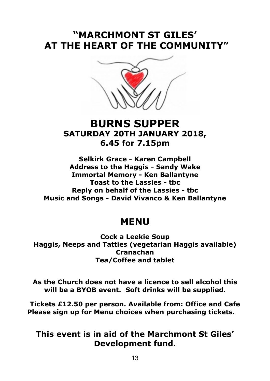### **"MARCHMONT ST GILES' AT THE HEART OF THE COMMUNITY"**



### **BURNS SUPPER SATURDAY 20TH JANUARY 2018, 6.45 for 7.15pm**

**Selkirk Grace - Karen Campbell Address to the Haggis - Sandy Wake Immortal Memory - Ken Ballantyne Toast to the Lassies - tbc Reply on behalf of the Lassies - tbc Music and Songs - David Vivanco & Ken Ballantyne**

### **MENU**

**Cock a Leekie Soup Haggis, Neeps and Tatties (vegetarian Haggis available) Cranachan Tea/Coffee and tablet**

**As the Church does not have a licence to sell alcohol this will be a BYOB event. Soft drinks will be supplied.**

**Tickets £12.50 per person. Available from: Office and Cafe Please sign up for Menu choices when purchasing tickets.**

### **This event is in aid of the Marchmont St Giles' Development fund.**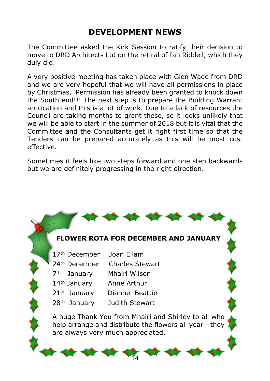### **DEVELOPMENT NEWS**

The Committee asked the Kirk Session to ratify their decision to move to DRD Architects Ltd on the retiral of Ian Riddell, which they duly did.

A very positive meeting has taken place with Glen Wade from DRD and we are very hopeful that we will have all permissions in place by Christmas. Permission has already been granted to knock down the South end!!! The next step is to prepare the Building Warrant application and this is a lot of work. Due to a lack of resources the Council are taking months to grant these, so it looks unlikely that we will be able to start in the summer of 2018 but it is vital that the Committee and the Consultants get it right first time so that the Tenders can be prepared accurately as this will be most cost effective.

Sometimes it feels like two steps forward and one step backwards but we are definitely progressing in the right direction.

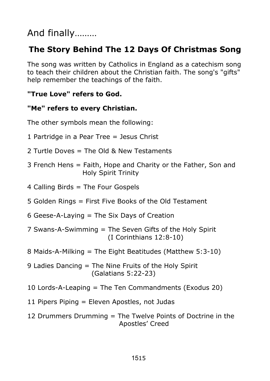### And finally………

### **The Story Behind The 12 Days Of Christmas Song**

The song was written by Catholics in England as a catechism song to teach their children about the Christian faith. The song's "gifts" help remember the teachings of the faith.

#### **"True Love" refers to God.**

#### **"Me" refers to every Christian.**

The other symbols mean the following:

- 1 Partridge in a Pear Tree = Jesus Christ
- 2 Turtle Doves = The Old & New Testaments
- 3 French Hens = Faith, Hope and Charity or the Father, Son and Holy Spirit Trinity
- 4 Calling Birds = The Four Gospels
- 5 Golden Rings = First Five Books of the Old Testament
- 6 Geese-A-Laying = The Six Days of Creation
- 7 Swans-A-Swimming = The Seven Gifts of the Holy Spirit (I Corinthians 12:8-10)
- 8 Maids-A-Milking = The Eight Beatitudes (Matthew 5:3-10)
- 9 Ladies Dancing = The Nine Fruits of the Holy Spirit (Galatians 5:22-23)
- 10 Lords-A-Leaping = The Ten Commandments (Exodus 20)
- 11 Pipers Piping = Eleven Apostles, not Judas
- 12 Drummers Drumming = The Twelve Points of Doctrine in the Apostles' Creed